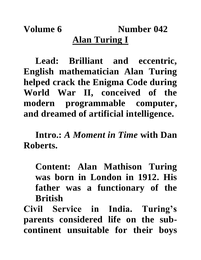**Volume 6** Number 042 **Alan Turing I**

**Lead: Brilliant and eccentric, English mathematician Alan Turing helped crack the Enigma Code during World War II, conceived of the modern programmable computer, and dreamed of artificial intelligence.**

**Intro.:** *A Moment in Time* **with Dan Roberts.**

**Content: Alan Mathison Turing was born in London in 1912. His father was a functionary of the British** 

**Civil Service in India. Turing's parents considered life on the subcontinent unsuitable for their boys**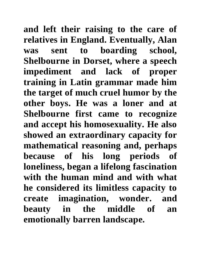**and left their raising to the care of relatives in England. Eventually, Alan was sent to boarding school, Shelbourne in Dorset, where a speech impediment and lack of proper training in Latin grammar made him the target of much cruel humor by the other boys. He was a loner and at Shelbourne first came to recognize and accept his homosexuality. He also showed an extraordinary capacity for mathematical reasoning and, perhaps because of his long periods of loneliness, began a lifelong fascination with the human mind and with what he considered its limitless capacity to create imagination, wonder. and beauty in the middle of an emotionally barren landscape.**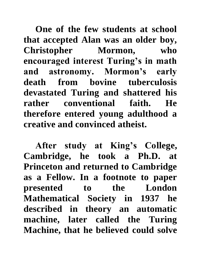**One of the few students at school that accepted Alan was an older boy, Christopher Mormon, who encouraged interest Turing's in math and astronomy. Mormon's early death from bovine tuberculosis devastated Turing and shattered his rather conventional faith. He therefore entered young adulthood a creative and convinced atheist.**

**After study at King's College, Cambridge, he took a Ph.D. at Princeton and returned to Cambridge as a Fellow. In a footnote to paper presented to the London Mathematical Society in 1937 he described in theory an automatic machine, later called the Turing Machine, that he believed could solve**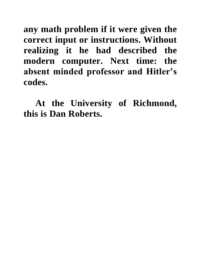**any math problem if it were given the correct input or instructions. Without realizing it he had described the modern computer. Next time: the absent minded professor and Hitler's codes.**

**At the University of Richmond, this is Dan Roberts.**